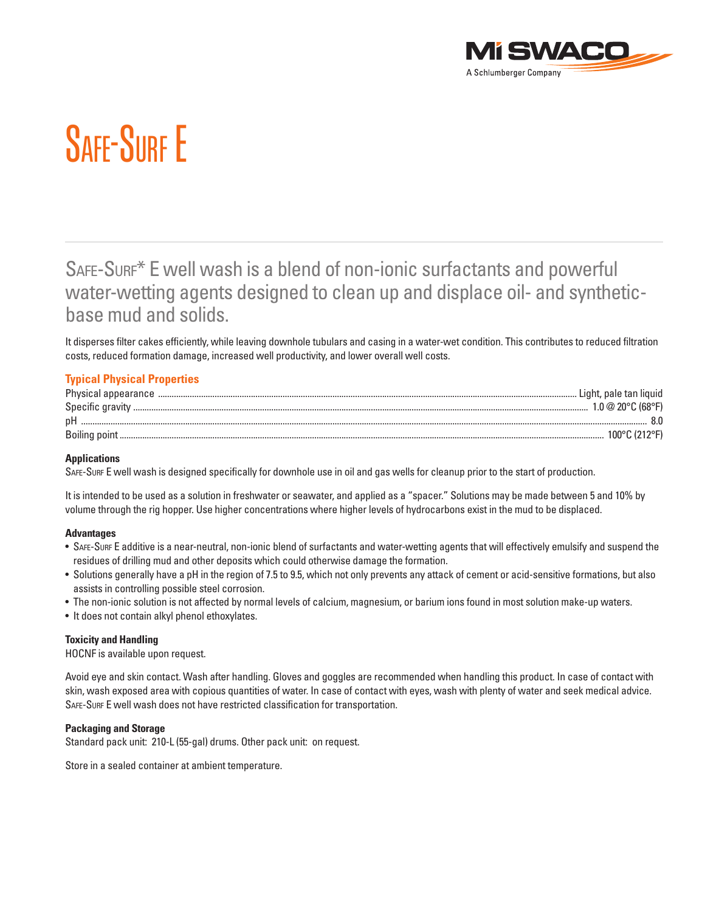

# SAFF-SURF E

## SAFE-SURF\* E well wash is a blend of non-ionic surfactants and powerful water-wetting agents designed to clean up and displace oil- and syntheticbase mud and solids.

It disperses filter cakes efficiently, while leaving downhole tubulars and casing in a water-wet condition. This contributes to reduced filtration costs, reduced formation damage, increased well productivity, and lower overall well costs.

### **Typical Physical Properties**

| Physical appearance | Light, pale tan liguid      |
|---------------------|-----------------------------|
| Specific gravity    | $.0 \& 20^{\circ}$ C (68°F) |
| рF                  |                             |
|                     | $100^\circ$ (               |

#### **Applications**

SAFE-SURF E well wash is designed specifically for downhole use in oil and gas wells for cleanup prior to the start of production.

It is intended to be used as a solution in freshwater or seawater, and applied as a "spacer." Solutions may be made between 5 and 10% by volume through the rig hopper. Use higher concentrations where higher levels of hydrocarbons exist in the mud to be displaced.

#### **Advantages**

- • SAFE-SURF E additive is a near-neutral, non-ionic blend of surfactants and water-wetting agents that will effectively emulsify and suspend the residues of drilling mud and other deposits which could otherwise damage the formation.
- • Solutions generally have a pH in the region of 7.5 to 9.5, which not only prevents any attack of cement or acid-sensitive formations, but also assists in controlling possible steel corrosion.
- The non-ionic solution is not affected by normal levels of calcium, magnesium, or barium ions found in most solution make-up waters.
- It does not contain alkyl phenol ethoxylates.

#### **Toxicity and Handling**

HOCNF is available upon request.

Avoid eye and skin contact. Wash after handling. Gloves and goggles are recommended when handling this product. In case of contact with skin, wash exposed area with copious quantities of water. In case of contact with eyes, wash with plenty of water and seek medical advice. SAFE-SURF E well wash does not have restricted classification for transportation.

#### **Packaging and Storage**

Standard pack unit: 210-L (55-gal) drums. Other pack unit: on request.

Store in a sealed container at ambient temperature.